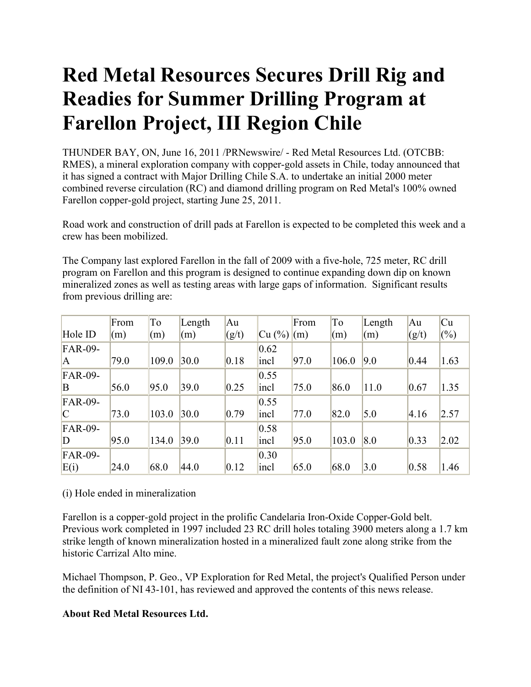## **Red Metal Resources Secures Drill Rig and Readies for Summer Drilling Program at Farellon Project, III Region Chile**

THUNDER BAY, ON, June 16, 2011 /PRNewswire/ - Red Metal Resources Ltd. (OTCBB: RMES), a mineral exploration company with copper-gold assets in Chile, today announced that it has signed a contract with Major Drilling Chile S.A. to undertake an initial 2000 meter combined reverse circulation (RC) and diamond drilling program on Red Metal's 100% owned Farellon copper-gold project, starting June 25, 2011.

Road work and construction of drill pads at Farellon is expected to be completed this week and a crew has been mobilized.

The Company last explored Farellon in the fall of 2009 with a five-hole, 725 meter, RC drill program on Farellon and this program is designed to continue expanding down dip on known mineralized zones as well as testing areas with large gaps of information. Significant results from previous drilling are:

|                | From | To    | Length | Au    |        | From | To    | Length | Au    | Cu     |
|----------------|------|-------|--------|-------|--------|------|-------|--------|-------|--------|
| Hole ID        | (m)  | (m)   | (m)    | (g/t) | Cu (%) | (m)  | (m)   | (m)    | (g/t) | $(\%)$ |
| <b>FAR-09-</b> |      |       |        |       | 0.62   |      |       |        |       |        |
| IA.            | 79.0 | 109.0 | 30.0   | 0.18  | incl   | 97.0 | 106.0 | 9.0    | 0.44  | 1.63   |
| <b>FAR-09-</b> |      |       |        |       | 0.55   |      |       |        |       |        |
| B              | 56.0 | 95.0  | 39.0   | 0.25  | incl   | 75.0 | 86.0  | 11.0   | 0.67  | 1.35   |
| <b>FAR-09-</b> |      |       |        |       | 0.55   |      |       |        |       |        |
| $\mathcal{C}$  | 73.0 | 103.0 | 30.0   | 0.79  | incl   | 77.0 | 82.0  | 5.0    | 4.16  | 2.57   |
| <b>FAR-09-</b> |      |       |        |       | 0.58   |      |       |        |       |        |
| D              | 95.0 | 134.0 | 39.0   | 0.11  | incl   | 95.0 | 103.0 | 8.0    | 0.33  | 2.02   |
| <b>FAR-09-</b> |      |       |        |       | 0.30   |      |       |        |       |        |
| E(i)           | 24.0 | 68.0  | 44.0   | 0.12  | incl   | 65.0 | 68.0  | 3.0    | 0.58  | 1.46   |

## (i) Hole ended in mineralization

Farellon is a copper-gold project in the prolific Candelaria Iron-Oxide Copper-Gold belt. Previous work completed in 1997 included 23 RC drill holes totaling 3900 meters along a 1.7 km strike length of known mineralization hosted in a mineralized fault zone along strike from the historic Carrizal Alto mine.

Michael Thompson, P. Geo., VP Exploration for Red Metal, the project's Qualified Person under the definition of NI 43-101, has reviewed and approved the contents of this news release.

## **About Red Metal Resources Ltd.**